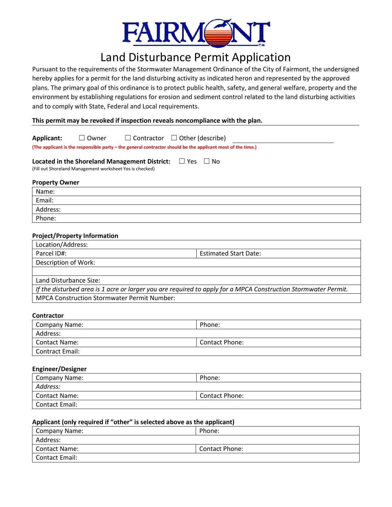

# Land Disturbance Permit Application

Pursuant to the requirements of the Stormwater Management Ordinance of the City of Fairmont, the undersigned hereby applies for a permit for the land disturbing activity as indicated heron and represented by the approved plans. The primary goal of this ordinance is to protect public health, safety, and general welfare, property and the environment by establishing regulations for erosion and sediment control related to the land disturbing activities and to comply with State, Federal and Local requirements.

## **This permit may be revoked if inspection reveals noncompliance with the plan.**

| $\Box$ Contractor<br>$\Box$ Other (describe)<br>Applicant:<br>$\Box$ Owner                                                     |                              |  |
|--------------------------------------------------------------------------------------------------------------------------------|------------------------------|--|
| (The applicant is the responsible party – the general contractor should be the applicant most of the time.)                    |                              |  |
| Located in the Shoreland Management District: $\Box$ Yes $\Box$ No<br>(Fill out Shoreland Management worksheet Yes is checked) |                              |  |
| <b>Property Owner</b>                                                                                                          |                              |  |
| Name:                                                                                                                          |                              |  |
| Email:                                                                                                                         |                              |  |
| Address:                                                                                                                       |                              |  |
| Phone:                                                                                                                         |                              |  |
| <b>Project/Property Information</b>                                                                                            |                              |  |
| Location/Address:                                                                                                              |                              |  |
| Parcel ID#:                                                                                                                    | <b>Estimated Start Date:</b> |  |
| Description of Work:                                                                                                           |                              |  |
| Land Disturbance Size:                                                                                                         |                              |  |
| If the disturbed area is 1 acre or larger you are required to apply for a MPCA Construction Stormwater Permit.                 |                              |  |
| <b>MPCA Construction Stormwater Permit Number:</b>                                                                             |                              |  |
| <b>Contractor</b>                                                                                                              |                              |  |
| Company Name:                                                                                                                  | Phone:                       |  |
| Address:                                                                                                                       |                              |  |
| <b>Contact Name:</b>                                                                                                           | <b>Contact Phone:</b>        |  |
| <b>Contract Email:</b>                                                                                                         |                              |  |
|                                                                                                                                |                              |  |

## **Engineer/Designer**

| <b>Company Name:</b> | Phone:         |
|----------------------|----------------|
| Address:             |                |
| <b>Contact Name:</b> | Contact Phone: |
| Contact Email:       |                |

## **Applicant (only required if "other" is selected above as the applicant)**

| <b>Company Name:</b> | Phone:                |
|----------------------|-----------------------|
| Address:             |                       |
| Contact Name:        | <b>Contact Phone:</b> |
| Contact Email:       |                       |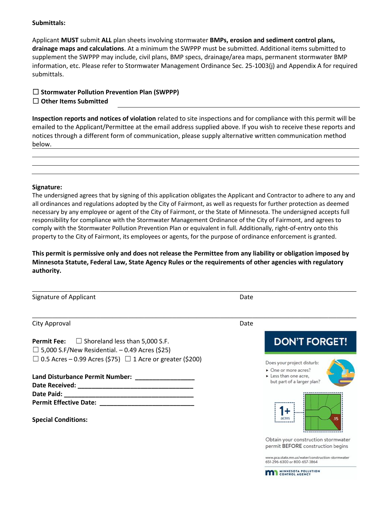### **Submittals:**

Applicant **MUST** submit **ALL** plan sheets involving stormwater **BMPs, erosion and sediment control plans, drainage maps and calculations**. At a minimum the SWPPP must be submitted. Additional items submitted to supplement the SWPPP may include, civil plans, BMP specs, drainage/area maps, permanent stormwater BMP information, etc. Please refer to Stormwater Management Ordinance Sec. 25-1003(j) and Appendix A for required submittals.

☐ **Stormwater Pollution Prevention Plan (SWPPP)** ☐ **Other Items Submitted** 

**Inspection reports and notices of violation** related to site inspections and for compliance with this permit will be emailed to the Applicant/Permittee at the email address supplied above. If you wish to receive these reports and notices through a different form of communication, please supply alternative written communication method below.

**Signature:** 

The undersigned agrees that by signing of this application obligates the Applicant and Contractor to adhere to any and all ordinances and regulations adopted by the City of Fairmont, as well as requests for further protection as deemed necessary by any employee or agent of the City of Fairmont, or the State of Minnesota. The undersigned accepts full responsibility for compliance with the Stormwater Management Ordinance of the City of Fairmont, and agrees to comply with the Stormwater Pollution Prevention Plan or equivalent in full. Additionally, right-of-entry onto this property to the City of Fairmont, its employees or agents, for the purpose of ordinance enforcement is granted.

**This permit is permissive only and does not release the Permittee from any liability or obligation imposed by Minnesota Statute, Federal Law, State Agency Rules or the requirements of other agencies with regulatory authority.** 

\_\_\_\_\_\_\_\_\_\_\_\_\_\_\_\_\_\_\_\_\_\_\_\_\_\_\_\_\_\_\_\_\_\_\_\_\_\_\_\_\_\_\_\_\_\_\_\_\_\_\_\_\_\_\_\_\_\_\_\_\_\_\_\_\_\_\_\_\_\_\_\_\_\_\_\_\_\_\_\_\_

| Signature of Applicant                                                                                                                                                                     | Date                                                                              |  |
|--------------------------------------------------------------------------------------------------------------------------------------------------------------------------------------------|-----------------------------------------------------------------------------------|--|
| City Approval                                                                                                                                                                              | Date                                                                              |  |
| <b>Permit Fee:</b> $\Box$ Shoreland less than 5,000 S.F.<br>$\Box$ 5,000 S.F/New Residential. - 0.49 Acres (\$25)<br>$\Box$ 0.5 Acres – 0.99 Acres (\$75) $\Box$ 1 Acre or greater (\$200) | <b>DON'T FORGET!</b><br>Does your project disturb:                                |  |
| <b>Land Disturbance Permit Number:</b>                                                                                                                                                     | • One or more acres?<br>Less than one acre.<br>but part of a larger plan?         |  |
|                                                                                                                                                                                            | acres                                                                             |  |
| <b>Special Conditions:</b>                                                                                                                                                                 | .15<br>Obtain your construction stormwater<br>permit BEFORE construction begins   |  |
|                                                                                                                                                                                            | www.pca.state.mn.us/water/construction-stormwater<br>651-296-6300 or 800-657-3864 |  |

**MAN MINNESOTA POLLUTION**